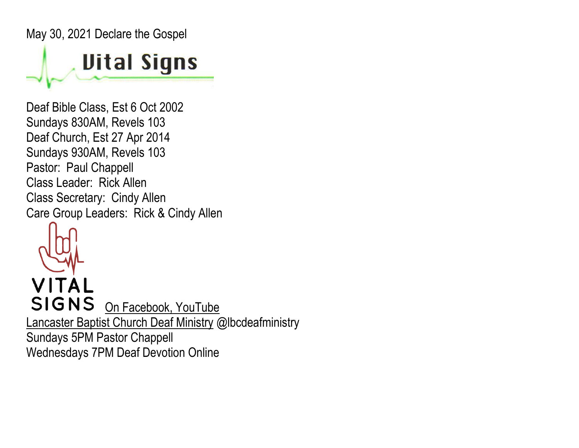May 30, 2021 Declare the Gospel

## **Uital Signs**

Deaf Bible Class, Est 6 Oct 2002 Sundays 830AM, Revels 103 Deaf Church, Est 27 Apr 2014 Sundays 930AM, Revels 103 Pastor: Paul Chappell Class Leader: Rick Allen Class Secretary: Cindy Allen Care Group Leaders: Rick & Cindy Allen



VITAL SIGNS On Facebook, YouTube Lancaster Baptist Church Deaf Ministry @lbcdeafministry Sundays 5PM Pastor Chappell Wednesdays 7PM Deaf Devotion Online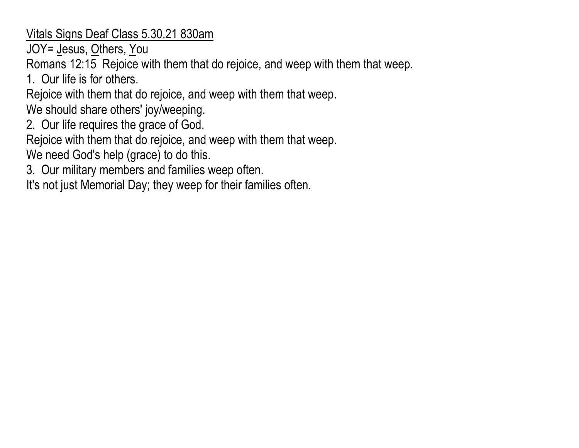Vitals Signs Deaf Class 5.30.21 830am

JOY= Jesus, Others, You

Romans 12:15 Rejoice with them that do rejoice, and weep with them that weep.

1. Our life is for others.

Rejoice with them that do rejoice, and weep with them that weep.

We should share others' joy/weeping.

2. Our life requires the grace of God.

Rejoice with them that do rejoice, and weep with them that weep.

We need God's help (grace) to do this.

3. Our military members and families weep often.

It's not just Memorial Day; they weep for their families often.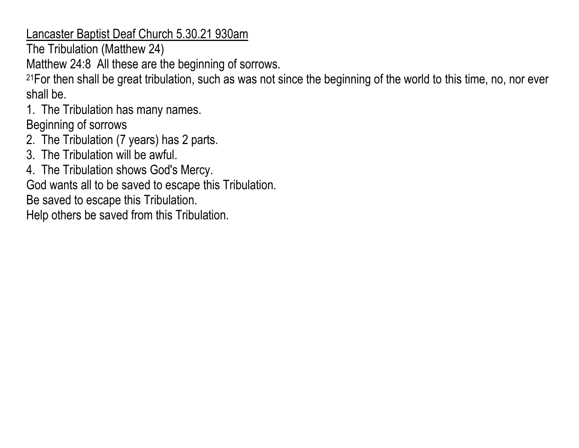Lancaster Baptist Deaf Church 5.30.21 930am

The Tribulation (Matthew 24)

Matthew 24:8 All these are the beginning of sorrows.

21For then shall be great tribulation, such as was not since the beginning of the world to this time, no, nor ever shall be.

1. The Tribulation has many names.

Beginning of sorrows

- 2. The Tribulation (7 years) has 2 parts.
- 3. The Tribulation will be awful.
- 4. The Tribulation shows God's Mercy.

God wants all to be saved to escape this Tribulation.

Be saved to escape this Tribulation.

Help others be saved from this Tribulation.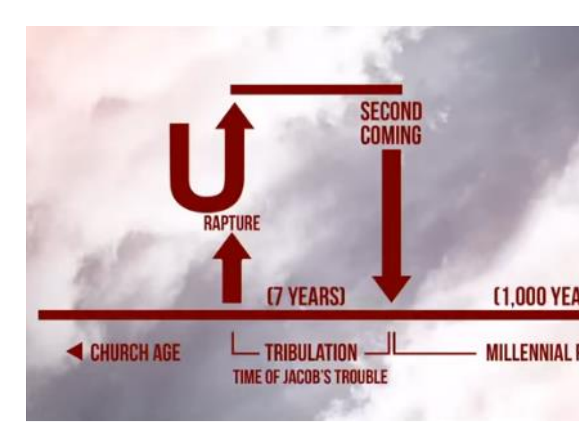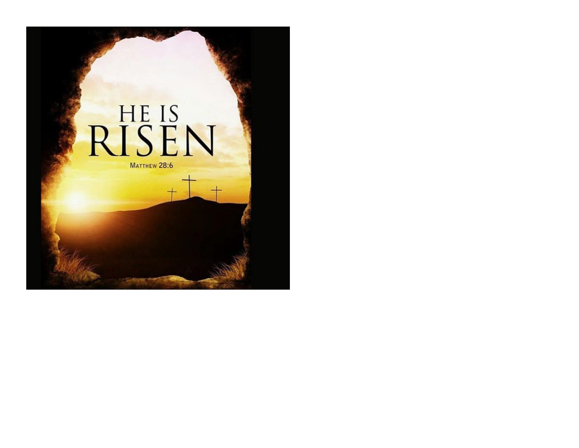